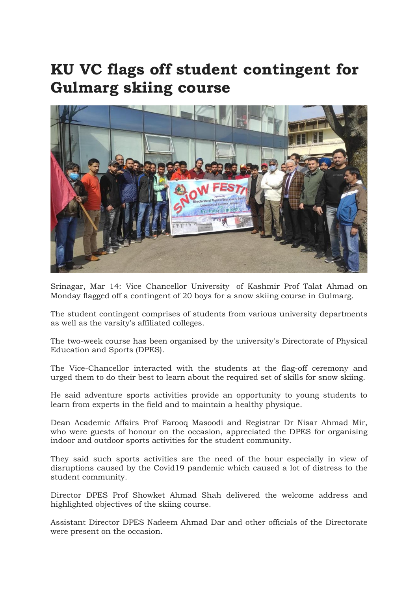## KU VC flags off student contingent for Gulmarg skiing course



Srinagar, Mar 14: Vice Chancellor University of Kashmir Prof Talat Ahmad on Monday flagged off a contingent of 20 boys for a snow skiing course in Gulmarg.

The student contingent comprises of students from various university departments as well as the varsity's affiliated colleges.

The two-week course has been organised by the university's Directorate of Physical Education and Sports (DPES).

The Vice-Chancellor interacted with the students at the flag-off ceremony and urged them to do their best to learn about the required set of skills for snow skiing.

He said adventure sports activities provide an opportunity to young students to learn from experts in the field and to maintain a healthy physique.

Dean Academic Affairs Prof Farooq Masoodi and Registrar Dr Nisar Ahmad Mir, who were guests of honour on the occasion, appreciated the DPES for organising indoor and outdoor sports activities for the student community.

They said such sports activities are the need of the hour especially in view of disruptions caused by the Covid19 pandemic which caused a lot of distress to the student community.

Director DPES Prof Showket Ahmad Shah delivered the welcome address and highlighted objectives of the skiing course.

Assistant Director DPES Nadeem Ahmad Dar and other officials of the Directorate were present on the occasion.